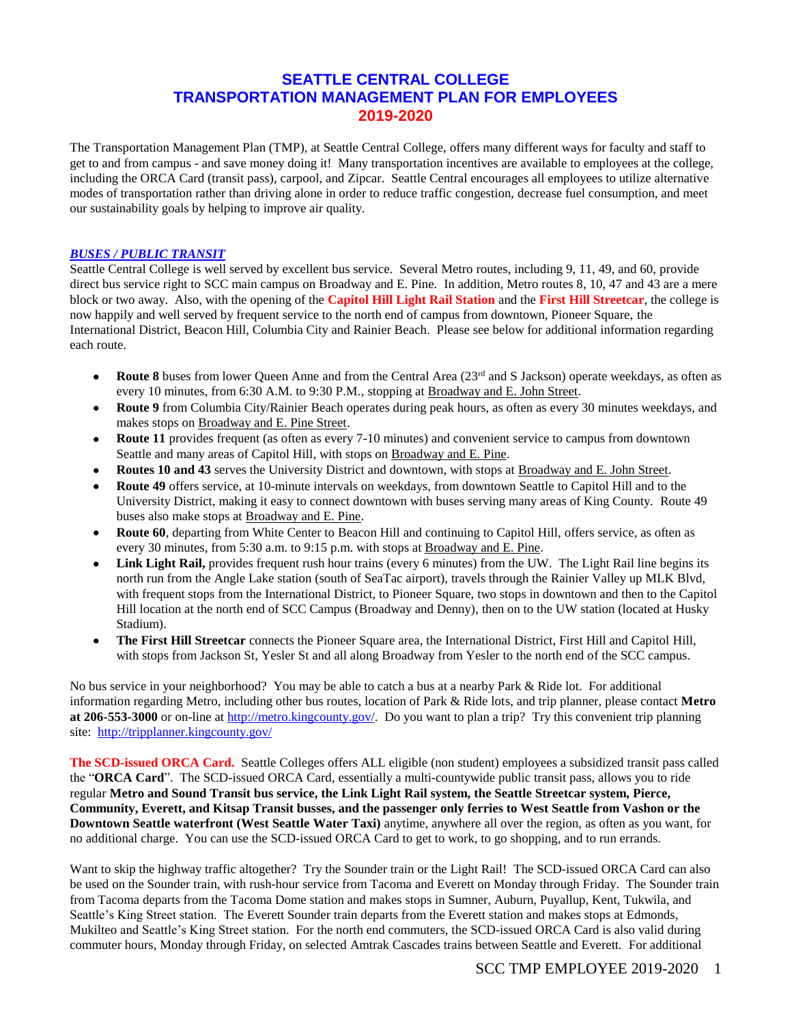# **SEATTLE CENTRAL COLLEGE TRANSPORTATION MANAGEMENT PLAN FOR EMPLOYEES 2019-2020**

The Transportation Management Plan (TMP), at Seattle Central College, offers many different ways for faculty and staff to get to and from campus - and save money doing it! Many transportation incentives are available to employees at the college, including the ORCA Card (transit pass), carpool, and Zipcar. Seattle Central encourages all employees to utilize alternative modes of transportation rather than driving alone in order to reduce traffic congestion, decrease fuel consumption, and meet our sustainability goals by helping to improve air quality.

#### *BUSES / PUBLIC TRANSIT*

Seattle Central College is well served by excellent bus service. Several Metro routes, including 9, 11, 49, and 60, provide direct bus service right to SCC main campus on Broadway and E. Pine. In addition, Metro routes 8, 10, 47 and 43 are a mere block or two away. Also, with the opening of the **Capitol Hill Light Rail Station** and the **First Hill Streetcar**, the college is now happily and well served by frequent service to the north end of campus from downtown, Pioneer Square, the International District, Beacon Hill, Columbia City and Rainier Beach. Please see below for additional information regarding each route.

- **Route 8** buses from lower Queen Anne and from the Central Area (23<sup>rd</sup> and S Jackson) operate weekdays, as often as every 10 minutes, from 6:30 A.M. to 9:30 P.M., stopping at Broadway and E. John Street.
- **Route 9** from Columbia City/Rainier Beach operates during peak hours, as often as every 30 minutes weekdays, and makes stops on Broadway and E. Pine Street.
- **Route 11** provides frequent (as often as every 7-10 minutes) and convenient service to campus from downtown Seattle and many areas of Capitol Hill, with stops on Broadway and E. Pine.
- **Routes 10 and 43** serves the University District and downtown, with stops at Broadway and E. John Street.
- **Route 49** offers service, at 10-minute intervals on weekdays, from downtown Seattle to Capitol Hill and to the University District, making it easy to connect downtown with buses serving many areas of King County. Route 49 buses also make stops at Broadway and E. Pine.
- **Route 60**, departing from White Center to Beacon Hill and continuing to Capitol Hill, offers service, as often as every 30 minutes, from 5:30 a.m. to 9:15 p.m. with stops at Broadway and E. Pine.
- Link Light Rail, provides frequent rush hour trains (every 6 minutes) from the UW. The Light Rail line begins its north run from the Angle Lake station (south of SeaTac airport), travels through the Rainier Valley up MLK Blvd, with frequent stops from the International District, to Pioneer Square, two stops in downtown and then to the Capitol Hill location at the north end of SCC Campus (Broadway and Denny), then on to the UW station (located at Husky Stadium).
- **The First Hill Streetcar** connects the Pioneer Square area, the International District, First Hill and Capitol Hill, with stops from Jackson St, Yesler St and all along Broadway from Yesler to the north end of the SCC campus.

No bus service in your neighborhood? You may be able to catch a bus at a nearby Park & Ride lot. For additional information regarding Metro, including other bus routes, location of Park & Ride lots, and trip planner, please contact **Metro at 206-553-3000** or on-line at [http://metro.kingcounty.gov/.](http://metro.kingcounty.gov/) Do you want to plan a trip? Try this convenient trip planning site:<http://tripplanner.kingcounty.gov/>

**The SCD-issued ORCA Card.** Seattle Colleges offers ALL eligible (non student) employees a subsidized transit pass called the "**ORCA Card**". The SCD-issued ORCA Card, essentially a multi-countywide public transit pass, allows you to ride regular **Metro and Sound Transit bus service, the Link Light Rail system, the Seattle Streetcar system, Pierce, Community, Everett, and Kitsap Transit busses, and the passenger only ferries to West Seattle from Vashon or the Downtown Seattle waterfront (West Seattle Water Taxi)** anytime, anywhere all over the region, as often as you want, for no additional charge. You can use the SCD-issued ORCA Card to get to work, to go shopping, and to run errands.

Want to skip the highway traffic altogether? Try the Sounder train or the Light Rail! The SCD-issued ORCA Card can also be used on the Sounder train, with rush-hour service from Tacoma and Everett on Monday through Friday. The Sounder train from Tacoma departs from the Tacoma Dome station and makes stops in Sumner, Auburn, Puyallup, Kent, Tukwila, and Seattle's King Street station. The Everett Sounder train departs from the Everett station and makes stops at Edmonds, Mukilteo and Seattle's King Street station. For the north end commuters, the SCD-issued ORCA Card is also valid during commuter hours, Monday through Friday, on selected Amtrak Cascades trains between Seattle and Everett. For additional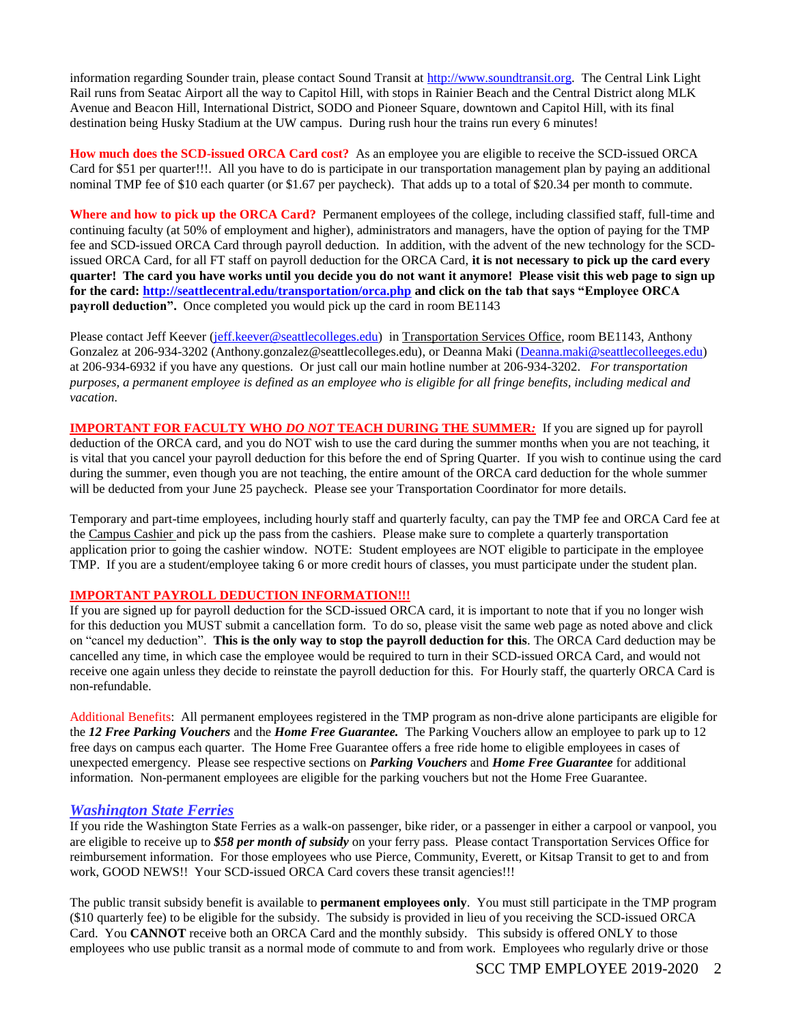information regarding Sounder train, please contact Sound Transit at [http://www.soundtransit.org.](http://www.soundtransit.org/) The Central Link Light Rail runs from Seatac Airport all the way to Capitol Hill, with stops in Rainier Beach and the Central District along MLK Avenue and Beacon Hill, International District, SODO and Pioneer Square, downtown and Capitol Hill, with its final destination being Husky Stadium at the UW campus. During rush hour the trains run every 6 minutes!

**How much does the SCD-issued ORCA Card cost?** As an employee you are eligible to receive the SCD-issued ORCA Card for \$51 per quarter!!!. All you have to do is participate in our transportation management plan by paying an additional nominal TMP fee of \$10 each quarter (or \$1.67 per paycheck). That adds up to a total of \$20.34 per month to commute.

**Where and how to pick up the ORCA Card?** Permanent employees of the college, including classified staff, full-time and continuing faculty (at 50% of employment and higher), administrators and managers, have the option of paying for the TMP fee and SCD-issued ORCA Card through payroll deduction. In addition, with the advent of the new technology for the SCDissued ORCA Card, for all FT staff on payroll deduction for the ORCA Card, **it is not necessary to pick up the card every quarter! The card you have works until you decide you do not want it anymore! Please visit this web page to sign up for the card:<http://seattlecentral.edu/transportation/orca.php> and click on the tab that says "Employee ORCA payroll deduction".** Once completed you would pick up the card in room BE1143

Please contact Jeff Keever [\(jeff.keever@seattlecolleges.edu\)](mailto:jeff.keever@seattlecolleges.edu) in Transportation Services Office, room BE1143, Anthony Gonzalez at 206-934-3202 (Anthony.gonzalez@seattlecolleges.edu), or Deanna Maki [\(Deanna.maki@seattlecolleeges.edu\)](mailto:Deanna.maki@seattlecolleeges.edu) at 206-934-6932 if you have any questions. Or just call our main hotline number at 206-934-3202. *For transportation purposes, a permanent employee is defined as an employee who is eligible for all fringe benefits, including medical and vacation.*

**IMPORTANT FOR FACULTY WHO** *DO NOT* **TEACH DURING THE SUMMER***:* If you are signed up for payroll deduction of the ORCA card, and you do NOT wish to use the card during the summer months when you are not teaching, it is vital that you cancel your payroll deduction for this before the end of Spring Quarter. If you wish to continue using the card during the summer, even though you are not teaching, the entire amount of the ORCA card deduction for the whole summer will be deducted from your June 25 paycheck. Please see your Transportation Coordinator for more details.

Temporary and part-time employees, including hourly staff and quarterly faculty, can pay the TMP fee and ORCA Card fee at the Campus Cashier and pick up the pass from the cashiers. Please make sure to complete a quarterly transportation application prior to going the cashier window. NOTE: Student employees are NOT eligible to participate in the employee TMP. If you are a student/employee taking 6 or more credit hours of classes, you must participate under the student plan.

#### **IMPORTANT PAYROLL DEDUCTION INFORMATION!!!**

If you are signed up for payroll deduction for the SCD-issued ORCA card, it is important to note that if you no longer wish for this deduction you MUST submit a cancellation form. To do so, please visit the same web page as noted above and click on "cancel my deduction". **This is the only way to stop the payroll deduction for this**. The ORCA Card deduction may be cancelled any time, in which case the employee would be required to turn in their SCD-issued ORCA Card, and would not receive one again unless they decide to reinstate the payroll deduction for this. For Hourly staff, the quarterly ORCA Card is non-refundable.

Additional Benefits: All permanent employees registered in the TMP program as non-drive alone participants are eligible for the *12 Free Parking Vouchers* and the *Home Free Guarantee.* The Parking Vouchers allow an employee to park up to 12 free days on campus each quarter. The Home Free Guarantee offers a free ride home to eligible employees in cases of unexpected emergency. Please see respective sections on *Parking Vouchers* and *Home Free Guarantee* for additional information. Non-permanent employees are eligible for the parking vouchers but not the Home Free Guarantee.

#### *Washington State Ferries*

If you ride the Washington State Ferries as a walk-on passenger, bike rider, or a passenger in either a carpool or vanpool, you are eligible to receive up to *\$58 per month of subsidy* on your ferry pass. Please contact Transportation Services Office for reimbursement information. For those employees who use Pierce, Community, Everett, or Kitsap Transit to get to and from work, GOOD NEWS!! Your SCD-issued ORCA Card covers these transit agencies!!!

The public transit subsidy benefit is available to **permanent employees only**. You must still participate in the TMP program (\$10 quarterly fee) to be eligible for the subsidy. The subsidy is provided in lieu of you receiving the SCD-issued ORCA Card. You **CANNOT** receive both an ORCA Card and the monthly subsidy. This subsidy is offered ONLY to those employees who use public transit as a normal mode of commute to and from work. Employees who regularly drive or those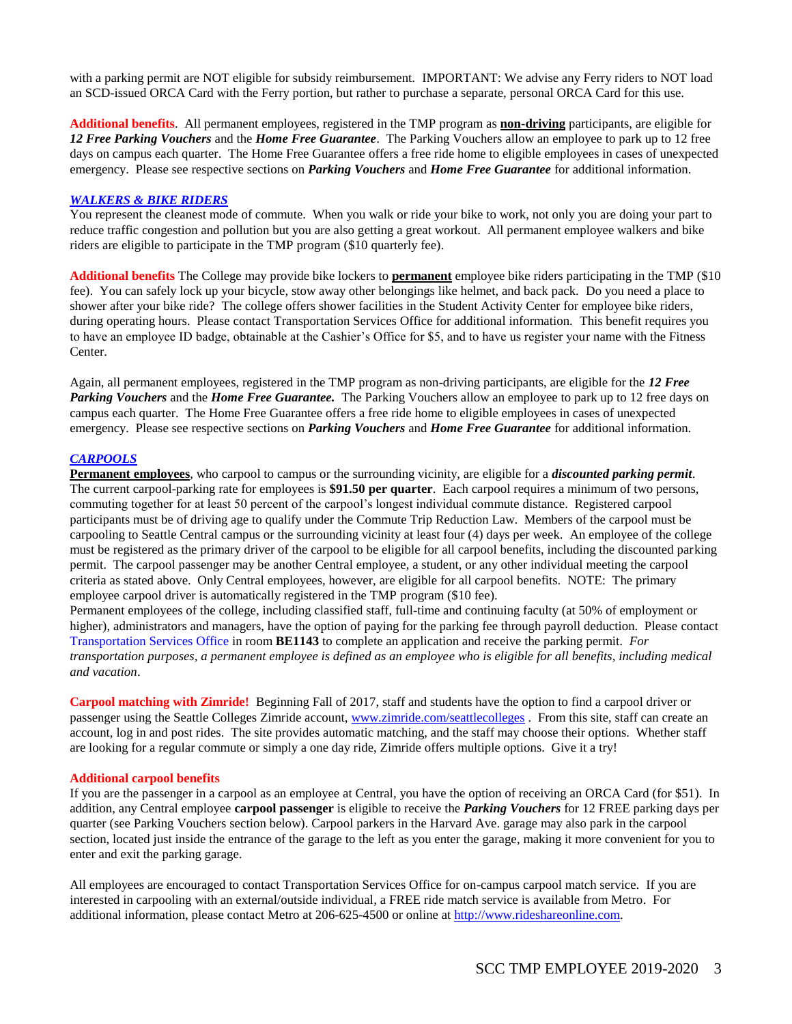with a parking permit are NOT eligible for subsidy reimbursement. IMPORTANT: We advise any Ferry riders to NOT load an SCD-issued ORCA Card with the Ferry portion, but rather to purchase a separate, personal ORCA Card for this use.

**Additional benefits**. All permanent employees, registered in the TMP program as **non-driving** participants, are eligible for *12 Free Parking Vouchers* and the *Home Free Guarantee*. The Parking Vouchers allow an employee to park up to 12 free days on campus each quarter. The Home Free Guarantee offers a free ride home to eligible employees in cases of unexpected emergency. Please see respective sections on *Parking Vouchers* and *Home Free Guarantee* for additional information.

#### *WALKERS & BIKE RIDERS*

You represent the cleanest mode of commute. When you walk or ride your bike to work, not only you are doing your part to reduce traffic congestion and pollution but you are also getting a great workout. All permanent employee walkers and bike riders are eligible to participate in the TMP program (\$10 quarterly fee).

**Additional benefits** The College may provide bike lockers to **permanent** employee bike riders participating in the TMP (\$10 fee). You can safely lock up your bicycle, stow away other belongings like helmet, and back pack. Do you need a place to shower after your bike ride? The college offers shower facilities in the Student Activity Center for employee bike riders, during operating hours. Please contact Transportation Services Office for additional information. This benefit requires you to have an employee ID badge, obtainable at the Cashier's Office for \$5, and to have us register your name with the Fitness Center.

Again, all permanent employees, registered in the TMP program as non-driving participants, are eligible for the *12 Free Parking Vouchers* and the *Home Free Guarantee.* The Parking Vouchers allow an employee to park up to 12 free days on campus each quarter. The Home Free Guarantee offers a free ride home to eligible employees in cases of unexpected emergency. Please see respective sections on *Parking Vouchers* and *Home Free Guarantee* for additional information.

#### *CARPOOLS*

**Permanent employees**, who carpool to campus or the surrounding vicinity, are eligible for a *discounted parking permit*. The current carpool-parking rate for employees is **\$91.50 per quarter**. Each carpool requires a minimum of two persons, commuting together for at least 50 percent of the carpool's longest individual commute distance. Registered carpool participants must be of driving age to qualify under the Commute Trip Reduction Law. Members of the carpool must be carpooling to Seattle Central campus or the surrounding vicinity at least four (4) days per week. An employee of the college must be registered as the primary driver of the carpool to be eligible for all carpool benefits, including the discounted parking permit. The carpool passenger may be another Central employee, a student, or any other individual meeting the carpool criteria as stated above. Only Central employees, however, are eligible for all carpool benefits. NOTE: The primary employee carpool driver is automatically registered in the TMP program (\$10 fee).

Permanent employees of the college, including classified staff, full-time and continuing faculty (at 50% of employment or higher), administrators and managers, have the option of paying for the parking fee through payroll deduction. Please contact Transportation Services Office in room **BE1143** to complete an application and receive the parking permit. *For transportation purposes, a permanent employee is defined as an employee who is eligible for all benefits, including medical and vacation*.

**Carpool matching with Zimride!** Beginning Fall of 2017, staff and students have the option to find a carpool driver or passenger using the Seattle Colleges Zimride account[, www.zimride.com/seattlecolleges](http://www.zimride.com/seattlecolleges) . From this site, staff can create an account, log in and post rides. The site provides automatic matching, and the staff may choose their options. Whether staff are looking for a regular commute or simply a one day ride, Zimride offers multiple options. Give it a try!

#### **Additional carpool benefits**

If you are the passenger in a carpool as an employee at Central, you have the option of receiving an ORCA Card (for \$51). In addition, any Central employee **carpool passenger** is eligible to receive the *Parking Vouchers* for 12 FREE parking days per quarter (see Parking Vouchers section below). Carpool parkers in the Harvard Ave. garage may also park in the carpool section, located just inside the entrance of the garage to the left as you enter the garage, making it more convenient for you to enter and exit the parking garage.

All employees are encouraged to contact Transportation Services Office for on-campus carpool match service. If you are interested in carpooling with an external/outside individual, a FREE ride match service is available from Metro. For additional information, please contact Metro at 206-625-4500 or online at [http://www.rideshareonline.com.](http://www.rideshareonline.com/)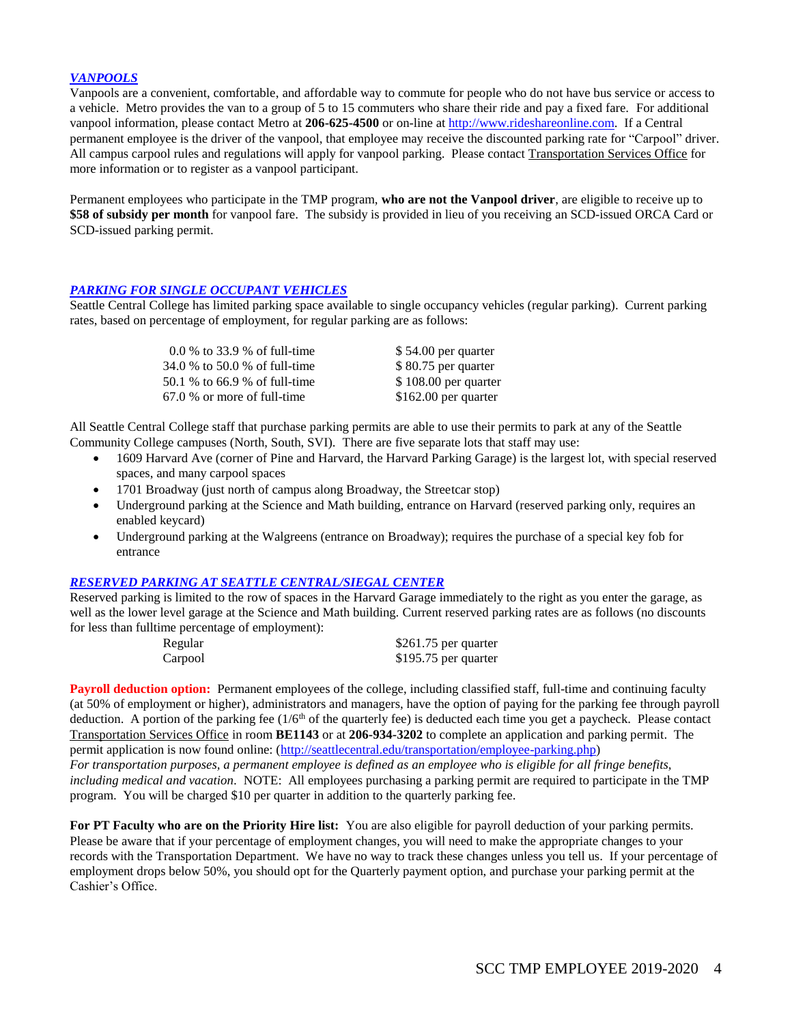#### *VANPOOLS*

Vanpools are a convenient, comfortable, and affordable way to commute for people who do not have bus service or access to a vehicle. Metro provides the van to a group of 5 to 15 commuters who share their ride and pay a fixed fare. For additional vanpool information, please contact Metro at **206-625-4500** or on-line at [http://www.rideshareonline.com.](http://www.rideshareonline.com/) If a Central permanent employee is the driver of the vanpool, that employee may receive the discounted parking rate for "Carpool" driver. All campus carpool rules and regulations will apply for vanpool parking. Please contact Transportation Services Office for more information or to register as a vanpool participant.

Permanent employees who participate in the TMP program, **who are not the Vanpool driver**, are eligible to receive up to **\$58 of subsidy per month** for vanpool fare. The subsidy is provided in lieu of you receiving an SCD-issued ORCA Card or SCD-issued parking permit.

#### *PARKING FOR SINGLE OCCUPANT VEHICLES*

Seattle Central College has limited parking space available to single occupancy vehicles (regular parking). Current parking rates, based on percentage of employment, for regular parking are as follows:

| 0.0 % to 33.9 % of full-time  | \$54.00 per quarter   |
|-------------------------------|-----------------------|
| 34.0 % to 50.0 % of full-time | $$80.75$ per quarter  |
| 50.1 % to 66.9 % of full-time | $$108.00$ per quarter |
| $67.0\%$ or more of full-time | $$162.00$ per quarter |

All Seattle Central College staff that purchase parking permits are able to use their permits to park at any of the Seattle Community College campuses (North, South, SVI). There are five separate lots that staff may use:

- 1609 Harvard Ave (corner of Pine and Harvard, the Harvard Parking Garage) is the largest lot, with special reserved spaces, and many carpool spaces
- 1701 Broadway (just north of campus along Broadway, the Streetcar stop)
- Underground parking at the Science and Math building, entrance on Harvard (reserved parking only, requires an enabled keycard)
- Underground parking at the Walgreens (entrance on Broadway); requires the purchase of a special key fob for entrance

#### *RESERVED PARKING AT SEATTLE CENTRAL/SIEGAL CENTER*

Reserved parking is limited to the row of spaces in the Harvard Garage immediately to the right as you enter the garage, as well as the lower level garage at the Science and Math building. Current reserved parking rates are as follows (no discounts for less than fulltime percentage of employment):

| Regular | \$261.75 per quarter |
|---------|----------------------|
| Carpool | \$195.75 per quarter |

**Payroll deduction option:** Permanent employees of the college, including classified staff, full-time and continuing faculty (at 50% of employment or higher), administrators and managers, have the option of paying for the parking fee through payroll deduction. A portion of the parking fee  $(1/6<sup>th</sup>$  of the quarterly fee) is deducted each time you get a paycheck. Please contact Transportation Services Office in room **BE1143** or at **206-934-3202** to complete an application and parking permit. The permit application is now found online: [\(http://seattlecentral.edu/transportation/employee-parking.php\)](http://seattlecentral.edu/transportation/employee-parking.php) *For transportation purposes, a permanent employee is defined as an employee who is eligible for all fringe benefits, including medical and vacation.* NOTE: All employees purchasing a parking permit are required to participate in the TMP program. You will be charged \$10 per quarter in addition to the quarterly parking fee.

**For PT Faculty who are on the Priority Hire list:** You are also eligible for payroll deduction of your parking permits. Please be aware that if your percentage of employment changes, you will need to make the appropriate changes to your records with the Transportation Department. We have no way to track these changes unless you tell us. If your percentage of employment drops below 50%, you should opt for the Quarterly payment option, and purchase your parking permit at the Cashier's Office.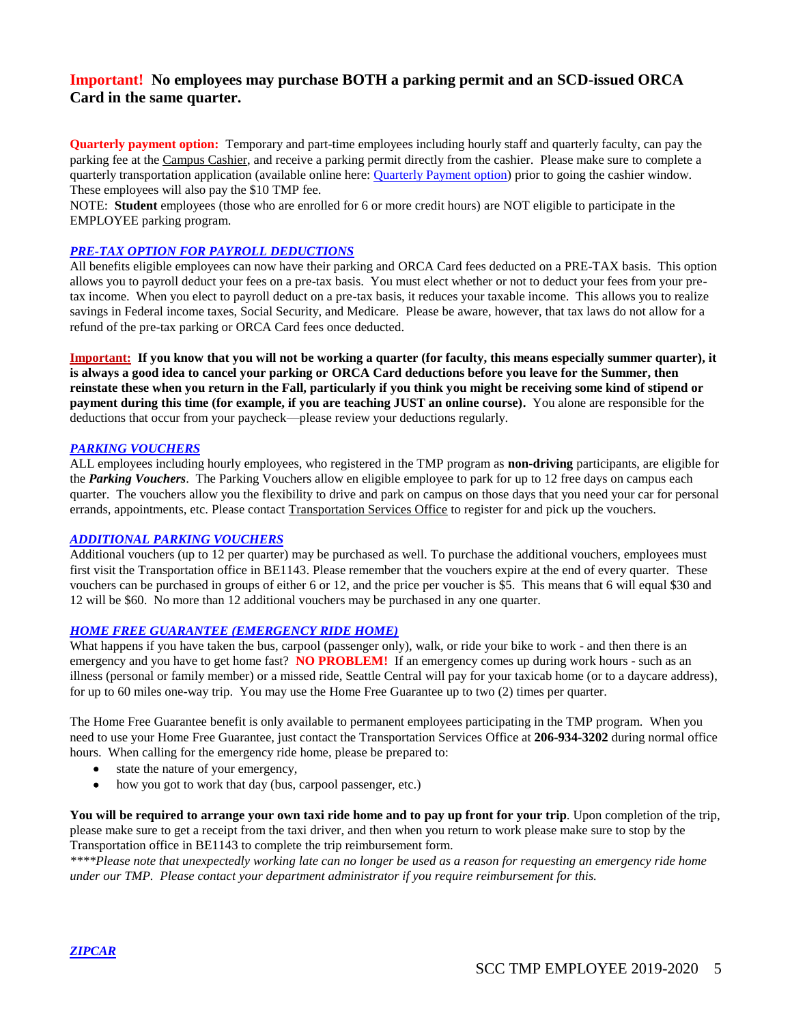### **Important! No employees may purchase BOTH a parking permit and an SCD-issued ORCA Card in the same quarter.**

**Quarterly payment option:** Temporary and part-time employees including hourly staff and quarterly faculty, can pay the parking fee at the Campus Cashier, and receive a parking permit directly from the cashier. Please make sure to complete a quarterly transportation application (available online here: [Quarterly Payment option\)](http://seattlecentral.edu/transportation/parking/employee-parking/index.php) prior to going the cashier window. These employees will also pay the \$10 TMP fee.

NOTE: **Student** employees (those who are enrolled for 6 or more credit hours) are NOT eligible to participate in the EMPLOYEE parking program.

#### *PRE-TAX OPTION FOR PAYROLL DEDUCTIONS*

All benefits eligible employees can now have their parking and ORCA Card fees deducted on a PRE-TAX basis. This option allows you to payroll deduct your fees on a pre-tax basis. You must elect whether or not to deduct your fees from your pretax income. When you elect to payroll deduct on a pre-tax basis, it reduces your taxable income. This allows you to realize savings in Federal income taxes, Social Security, and Medicare. Please be aware, however, that tax laws do not allow for a refund of the pre-tax parking or ORCA Card fees once deducted.

**Important: If you know that you will not be working a quarter (for faculty, this means especially summer quarter), it is always a good idea to cancel your parking or ORCA Card deductions before you leave for the Summer, then reinstate these when you return in the Fall, particularly if you think you might be receiving some kind of stipend or payment during this time (for example, if you are teaching JUST an online course).** You alone are responsible for the deductions that occur from your paycheck—please review your deductions regularly.

#### *PARKING VOUCHERS*

ALL employees including hourly employees, who registered in the TMP program as **non-driving** participants, are eligible for the *Parking Vouchers*. The Parking Vouchers allow en eligible employee to park for up to 12 free days on campus each quarter. The vouchers allow you the flexibility to drive and park on campus on those days that you need your car for personal errands, appointments, etc. Please contact Transportation Services Office to register for and pick up the vouchers.

### *ADDITIONAL PARKING VOUCHERS*

Additional vouchers (up to 12 per quarter) may be purchased as well. To purchase the additional vouchers, employees must first visit the Transportation office in BE1143. Please remember that the vouchers expire at the end of every quarter. These vouchers can be purchased in groups of either 6 or 12, and the price per voucher is \$5. This means that 6 will equal \$30 and 12 will be \$60. No more than 12 additional vouchers may be purchased in any one quarter.

#### *HOME FREE GUARANTEE (EMERGENCY RIDE HOME)*

What happens if you have taken the bus, carpool (passenger only), walk, or ride your bike to work - and then there is an emergency and you have to get home fast? **NO PROBLEM!** If an emergency comes up during work hours - such as an illness (personal or family member) or a missed ride, Seattle Central will pay for your taxicab home (or to a daycare address), for up to 60 miles one-way trip. You may use the Home Free Guarantee up to two (2) times per quarter.

The Home Free Guarantee benefit is only available to permanent employees participating in the TMP program. When you need to use your Home Free Guarantee, just contact the Transportation Services Office at **206-934-3202** during normal office hours. When calling for the emergency ride home, please be prepared to:

- state the nature of your emergency,
- how you got to work that day (bus, carpool passenger, etc.)

**You will be required to arrange your own taxi ride home and to pay up front for your trip**. Upon completion of the trip, please make sure to get a receipt from the taxi driver, and then when you return to work please make sure to stop by the Transportation office in BE1143 to complete the trip reimbursement form.

*\*\*\*\*Please note that unexpectedly working late can no longer be used as a reason for requesting an emergency ride home under our TMP. Please contact your department administrator if you require reimbursement for this.*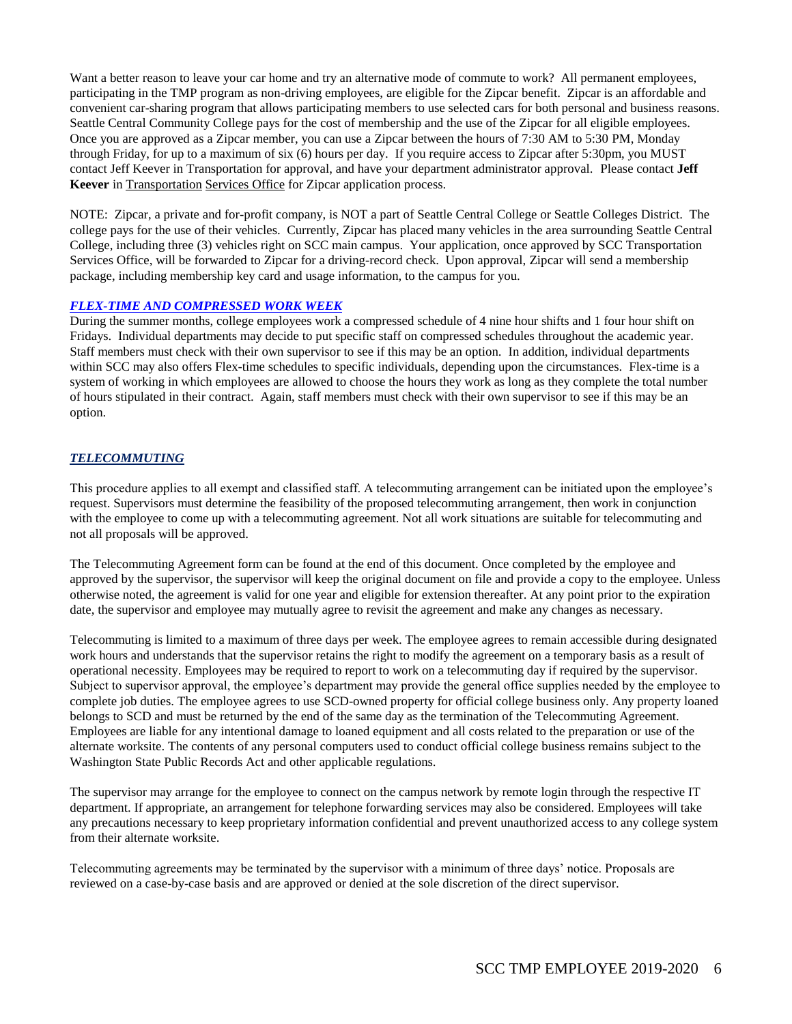Want a better reason to leave your car home and try an alternative mode of commute to work? All permanent employees, participating in the TMP program as non-driving employees, are eligible for the Zipcar benefit. Zipcar is an affordable and convenient car-sharing program that allows participating members to use selected cars for both personal and business reasons. Seattle Central Community College pays for the cost of membership and the use of the Zipcar for all eligible employees. Once you are approved as a Zipcar member, you can use a Zipcar between the hours of 7:30 AM to 5:30 PM, Monday through Friday, for up to a maximum of six (6) hours per day. If you require access to Zipcar after 5:30pm, you MUST contact Jeff Keever in Transportation for approval, and have your department administrator approval. Please contact **Jeff Keever** in Transportation Services Office for Zipcar application process.

NOTE: Zipcar, a private and for-profit company, is NOT a part of Seattle Central College or Seattle Colleges District. The college pays for the use of their vehicles. Currently, Zipcar has placed many vehicles in the area surrounding Seattle Central College, including three (3) vehicles right on SCC main campus. Your application, once approved by SCC Transportation Services Office, will be forwarded to Zipcar for a driving-record check. Upon approval, Zipcar will send a membership package, including membership key card and usage information, to the campus for you.

#### *FLEX-TIME AND COMPRESSED WORK WEEK*

During the summer months, college employees work a compressed schedule of 4 nine hour shifts and 1 four hour shift on Fridays. Individual departments may decide to put specific staff on compressed schedules throughout the academic year. Staff members must check with their own supervisor to see if this may be an option. In addition, individual departments within SCC may also offers Flex-time schedules to specific individuals, depending upon the circumstances. Flex-time is a system of working in which employees are allowed to choose the hours they work as long as they complete the total number of hours stipulated in their contract. Again, staff members must check with their own supervisor to see if this may be an option.

#### *TELECOMMUTING*

This procedure applies to all exempt and classified staff. A telecommuting arrangement can be initiated upon the employee's request. Supervisors must determine the feasibility of the proposed telecommuting arrangement, then work in conjunction with the employee to come up with a telecommuting agreement. Not all work situations are suitable for telecommuting and not all proposals will be approved.

The Telecommuting Agreement form can be found at the end of this document. Once completed by the employee and approved by the supervisor, the supervisor will keep the original document on file and provide a copy to the employee. Unless otherwise noted, the agreement is valid for one year and eligible for extension thereafter. At any point prior to the expiration date, the supervisor and employee may mutually agree to revisit the agreement and make any changes as necessary.

Telecommuting is limited to a maximum of three days per week. The employee agrees to remain accessible during designated work hours and understands that the supervisor retains the right to modify the agreement on a temporary basis as a result of operational necessity. Employees may be required to report to work on a telecommuting day if required by the supervisor. Subject to supervisor approval, the employee's department may provide the general office supplies needed by the employee to complete job duties. The employee agrees to use SCD-owned property for official college business only. Any property loaned belongs to SCD and must be returned by the end of the same day as the termination of the Telecommuting Agreement. Employees are liable for any intentional damage to loaned equipment and all costs related to the preparation or use of the alternate worksite. The contents of any personal computers used to conduct official college business remains subject to the Washington State Public Records Act and other applicable regulations.

The supervisor may arrange for the employee to connect on the campus network by remote login through the respective IT department. If appropriate, an arrangement for telephone forwarding services may also be considered. Employees will take any precautions necessary to keep proprietary information confidential and prevent unauthorized access to any college system from their alternate worksite.

Telecommuting agreements may be terminated by the supervisor with a minimum of three days' notice. Proposals are reviewed on a case-by-case basis and are approved or denied at the sole discretion of the direct supervisor.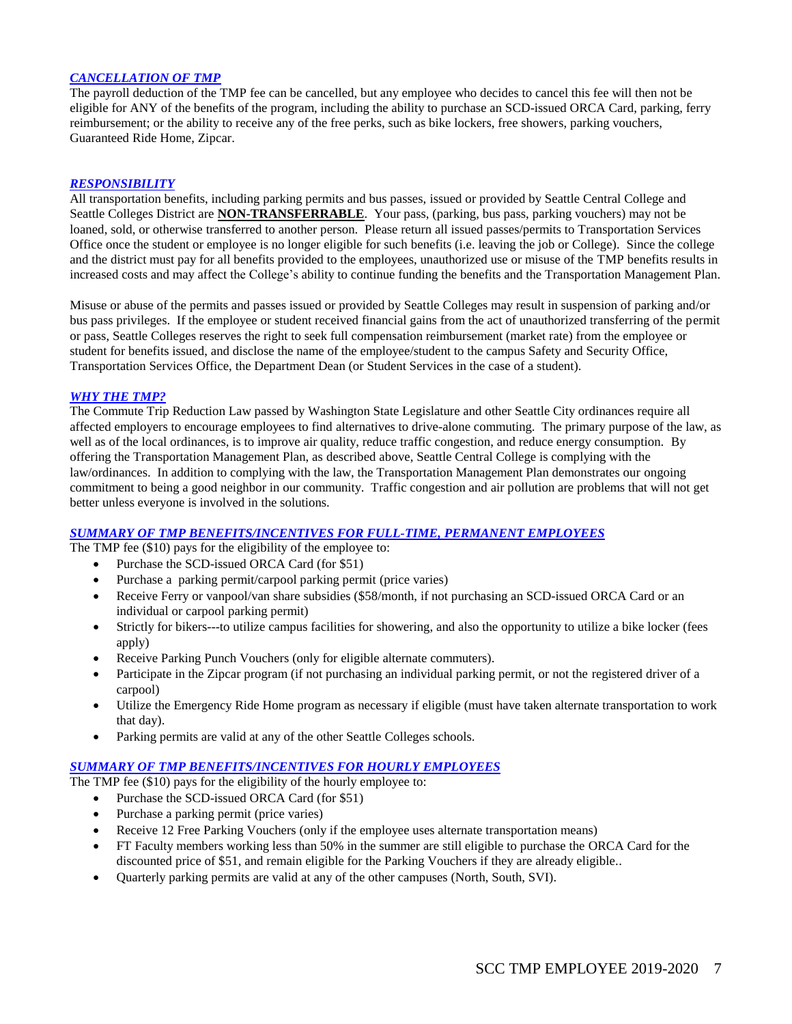#### *CANCELLATION OF TMP*

The payroll deduction of the TMP fee can be cancelled, but any employee who decides to cancel this fee will then not be eligible for ANY of the benefits of the program, including the ability to purchase an SCD-issued ORCA Card, parking, ferry reimbursement; or the ability to receive any of the free perks, such as bike lockers, free showers, parking vouchers, Guaranteed Ride Home, Zipcar.

#### *RESPONSIBILITY*

All transportation benefits, including parking permits and bus passes, issued or provided by Seattle Central College and Seattle Colleges District are **NON-TRANSFERRABLE**. Your pass, (parking, bus pass, parking vouchers) may not be loaned, sold, or otherwise transferred to another person. Please return all issued passes/permits to Transportation Services Office once the student or employee is no longer eligible for such benefits (i.e. leaving the job or College). Since the college and the district must pay for all benefits provided to the employees, unauthorized use or misuse of the TMP benefits results in increased costs and may affect the College's ability to continue funding the benefits and the Transportation Management Plan.

Misuse or abuse of the permits and passes issued or provided by Seattle Colleges may result in suspension of parking and/or bus pass privileges. If the employee or student received financial gains from the act of unauthorized transferring of the permit or pass, Seattle Colleges reserves the right to seek full compensation reimbursement (market rate) from the employee or student for benefits issued, and disclose the name of the employee/student to the campus Safety and Security Office, Transportation Services Office, the Department Dean (or Student Services in the case of a student).

#### *WHY THE TMP?*

The Commute Trip Reduction Law passed by Washington State Legislature and other Seattle City ordinances require all affected employers to encourage employees to find alternatives to drive-alone commuting. The primary purpose of the law, as well as of the local ordinances, is to improve air quality, reduce traffic congestion, and reduce energy consumption. By offering the Transportation Management Plan, as described above, Seattle Central College is complying with the law/ordinances. In addition to complying with the law, the Transportation Management Plan demonstrates our ongoing commitment to being a good neighbor in our community. Traffic congestion and air pollution are problems that will not get better unless everyone is involved in the solutions.

#### *SUMMARY OF TMP BENEFITS/INCENTIVES FOR FULL-TIME, PERMANENT EMPLOYEES*

The TMP fee (\$10) pays for the eligibility of the employee to:

- Purchase the SCD-issued ORCA Card (for \$51)
- Purchase a parking permit/carpool parking permit (price varies)
- Receive Ferry or vanpool/van share subsidies (\$58/month, if not purchasing an SCD-issued ORCA Card or an individual or carpool parking permit)
- Strictly for bikers---to utilize campus facilities for showering, and also the opportunity to utilize a bike locker (fees apply)
- Receive Parking Punch Vouchers (only for eligible alternate commuters).
- Participate in the Zipcar program (if not purchasing an individual parking permit, or not the registered driver of a carpool)
- Utilize the Emergency Ride Home program as necessary if eligible (must have taken alternate transportation to work that day).
- Parking permits are valid at any of the other Seattle Colleges schools.

#### *SUMMARY OF TMP BENEFITS/INCENTIVES FOR HOURLY EMPLOYEES*

The TMP fee (\$10) pays for the eligibility of the hourly employee to:

- Purchase the SCD-issued ORCA Card (for \$51)
- Purchase a parking permit (price varies)
- Receive 12 Free Parking Vouchers (only if the employee uses alternate transportation means)
- FT Faculty members working less than 50% in the summer are still eligible to purchase the ORCA Card for the discounted price of \$51, and remain eligible for the Parking Vouchers if they are already eligible..
- Quarterly parking permits are valid at any of the other campuses (North, South, SVI).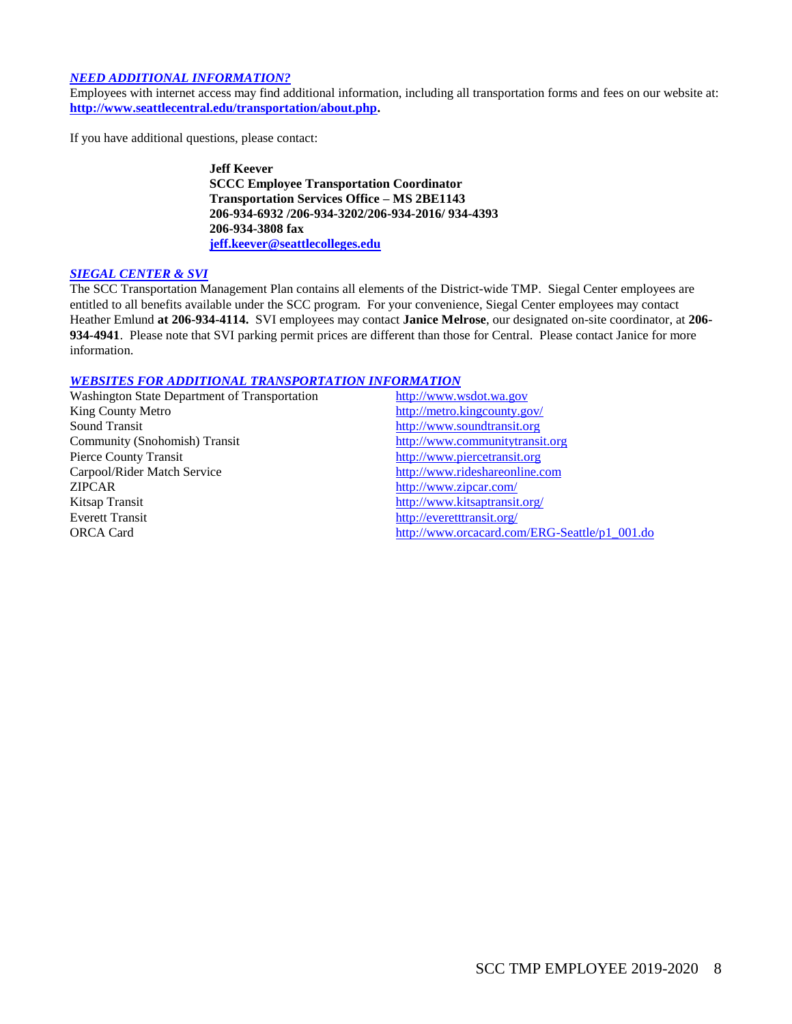#### *NEED ADDITIONAL INFORMATION?*

Employees with internet access may find additional information, including all transportation forms and fees on our website at: **[http://www.seattlecentral.edu/transportation/about.php.](http://www.seattlecentral.edu/transportation/about.php)**

If you have additional questions, please contact:

**Jeff Keever SCCC Employee Transportation Coordinator Transportation Services Office – MS 2BE1143 206-934-6932 /206-934-3202/206-934-2016/ 934-4393 206-934-3808 fax [jeff.keever@seattlecolleges.edu](mailto:jeff.keever@seattlecolleges.edu)**

#### *SIEGAL CENTER & SVI*

The SCC Transportation Management Plan contains all elements of the District-wide TMP. Siegal Center employees are entitled to all benefits available under the SCC program. For your convenience, Siegal Center employees may contact Heather Emlund **at 206-934-4114.** SVI employees may contact **Janice Melrose**, our designated on-site coordinator, at **206- 934-4941**. Please note that SVI parking permit prices are different than those for Central. Please contact Janice for more information.

#### *WEBSITES FOR ADDITIONAL TRANSPORTATION INFORMATION*

| Washington State Department of Transportation | http://www.wsdot.wa.gov                       |
|-----------------------------------------------|-----------------------------------------------|
| King County Metro                             | http://metro.kingcounty.gov/                  |
| Sound Transit                                 | http://www.soundtransit.org                   |
| Community (Snohomish) Transit                 | http://www.communitytransit.org               |
| <b>Pierce County Transit</b>                  | http://www.piercetransit.org                  |
| Carpool/Rider Match Service                   | http://www.rideshareonline.com                |
| <b>ZIPCAR</b>                                 | http://www.zipcar.com/                        |
| Kitsap Transit                                | http://www.kitsaptransit.org/                 |
| <b>Everett Transit</b>                        | http://everetttransit.org/                    |
| <b>ORCA Card</b>                              | http://www.orcacard.com/ERG-Seattle/p1 001.do |
|                                               |                                               |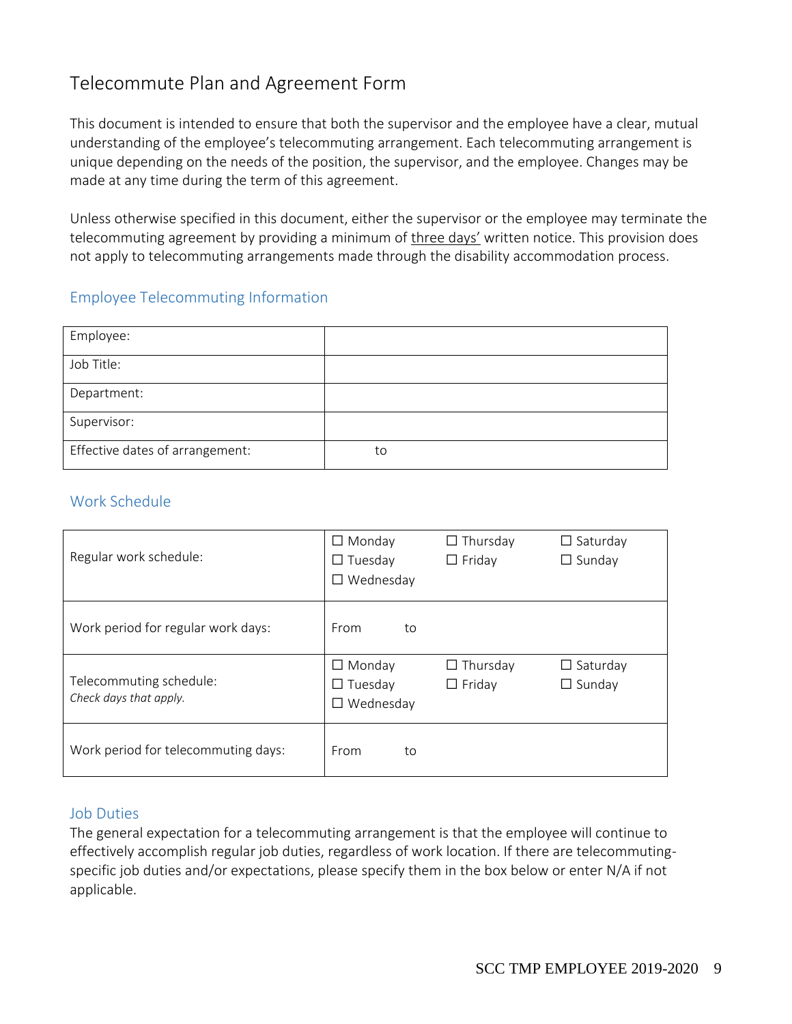# Telecommute Plan and Agreement Form

This document is intended to ensure that both the supervisor and the employee have a clear, mutual understanding of the employee's telecommuting arrangement. Each telecommuting arrangement is unique depending on the needs of the position, the supervisor, and the employee. Changes may be made at any time during the term of this agreement.

Unless otherwise specified in this document, either the supervisor or the employee may terminate the telecommuting agreement by providing a minimum of three days' written notice. This provision does not apply to telecommuting arrangements made through the disability accommodation process.

## Employee Telecommuting Information

| Employee:                       |    |
|---------------------------------|----|
| Job Title:                      |    |
| Department:                     |    |
| Supervisor:                     |    |
| Effective dates of arrangement: | to |

# Work Schedule

| Regular work schedule:                            | $\Box$ Monday<br>$\Box$ Tuesday<br>$\Box$ Wednesday | $\Box$ Thursday<br>$\Box$ Friday | $\Box$ Saturday<br>$\Box$ Sunday |
|---------------------------------------------------|-----------------------------------------------------|----------------------------------|----------------------------------|
| Work period for regular work days:                | From<br>to                                          |                                  |                                  |
| Telecommuting schedule:<br>Check days that apply. | $\Box$ Monday<br>$\Box$ Tuesday<br>$\Box$ Wednesday | $\Box$ Thursday<br>$\Box$ Friday | $\Box$ Saturday<br>$\Box$ Sunday |
| Work period for telecommuting days:               | From<br>to                                          |                                  |                                  |

## Job Duties

The general expectation for a telecommuting arrangement is that the employee will continue to effectively accomplish regular job duties, regardless of work location. If there are telecommutingspecific job duties and/or expectations, please specify them in the box below or enter N/A if not applicable.